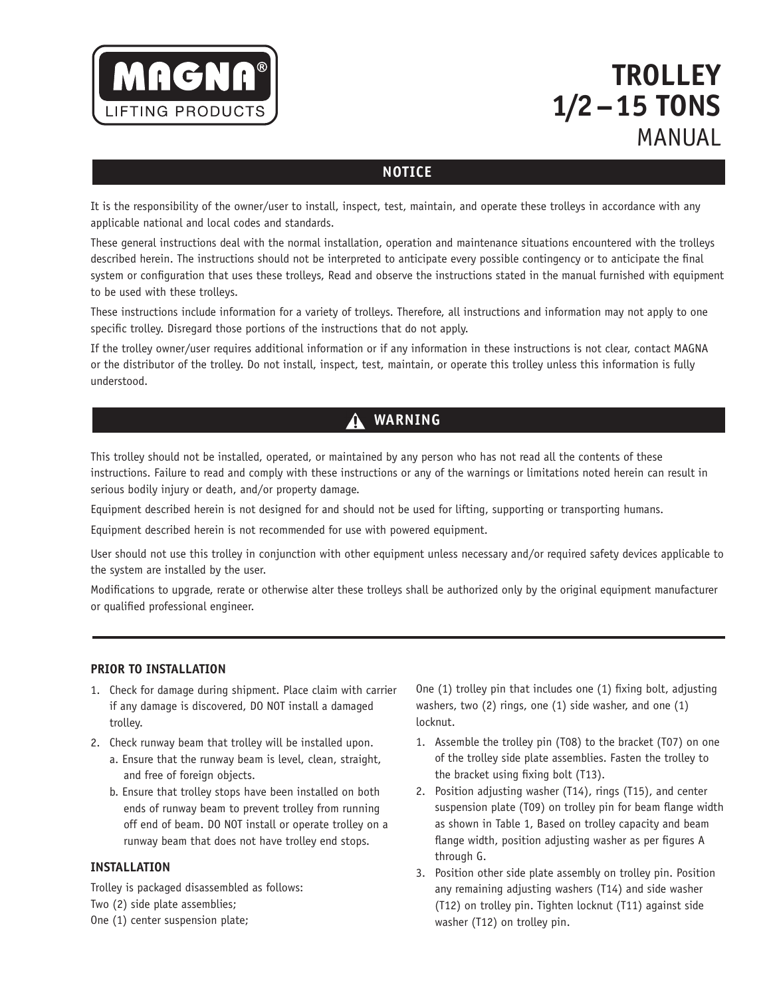

# **Trolley 1/2 – 15 TONS MANUAL**

# **Notice**

It is the responsibility of the owner/user to install, inspect, test, maintain, and operate these trolleys in accordance with any applicable national and local codes and standards.

These general instructions deal with the normal installation, operation and maintenance situations encountered with the trolleys described herein. The instructions should not be interpreted to anticipate every possible contingency or to anticipate the final system or configuration that uses these trolleys, Read and observe the instructions stated in the manual furnished with equipment to be used with these trolleys.

These instructions include information for a variety of trolleys. Therefore, all instructions and information may not apply to one specific trolley. Disregard those portions of the instructions that do not apply.

If the trolley owner/user requires additional information or if any information in these instructions is not clear, contact MAGNA or the distributor of the trolley. Do not install, inspect, test, maintain, or operate this trolley unless this information is fully understood.

# **Warning**

This trolley should not be installed, operated, or maintained by any person who has not read all the contents of these instructions. Failure to read and comply with these instructions or any of the warnings or limitations noted herein can result in serious bodily injury or death, and/or property damage.

Equipment described herein is not designed for and should not be used for lifting, supporting or transporting humans.

Equipment described herein is not recommended for use with powered equipment.

User should not use this trolley in conjunction with other equipment unless necessary and/or required safety devices applicable to the system are installed by the user.

Modifications to upgrade, rerate or otherwise alter these trolleys shall be authorized only by the original equipment manufacturer or qualified professional engineer.

#### **PRIOR TO INSTALLATION**

- 1. Check for damage during shipment. Place claim with carrier if any damage is discovered, DO NOT install a damaged trolley.
- 2. Check runway beam that trolley will be installed upon.
	- a. Ensure that the runway beam is level, clean, straight, and free of foreign objects.
	- b. Ensure that trolley stops have been installed on both ends of runway beam to prevent trolley from running off end of beam. DO NOT install or operate trolley on a runway beam that does not have trolley end stops.

#### **INSTALLATION**

Trolley is packaged disassembled as follows: Two (2) side plate assemblies; One (1) center suspension plate;

One (1) trolley pin that includes one (1) fixing bolt, adjusting washers, two (2) rings, one (1) side washer, and one (1) locknut.

- 1. Assemble the trolley pin (T08) to the bracket (T07) on one of the trolley side plate assemblies. Fasten the trolley to the bracket using fixing bolt (T13).
- 2. Position adjusting washer (T14), rings (T15), and center suspension plate (T09) on trolley pin for beam flange width as shown in Table 1, Based on trolley capacity and beam flange width, position adjusting washer as per figures A through G.
- 3. Position other side plate assembly on trolley pin. Position any remaining adjusting washers (T14) and side washer (T12) on trolley pin. Tighten locknut (T11) against side washer (T12) on trolley pin.